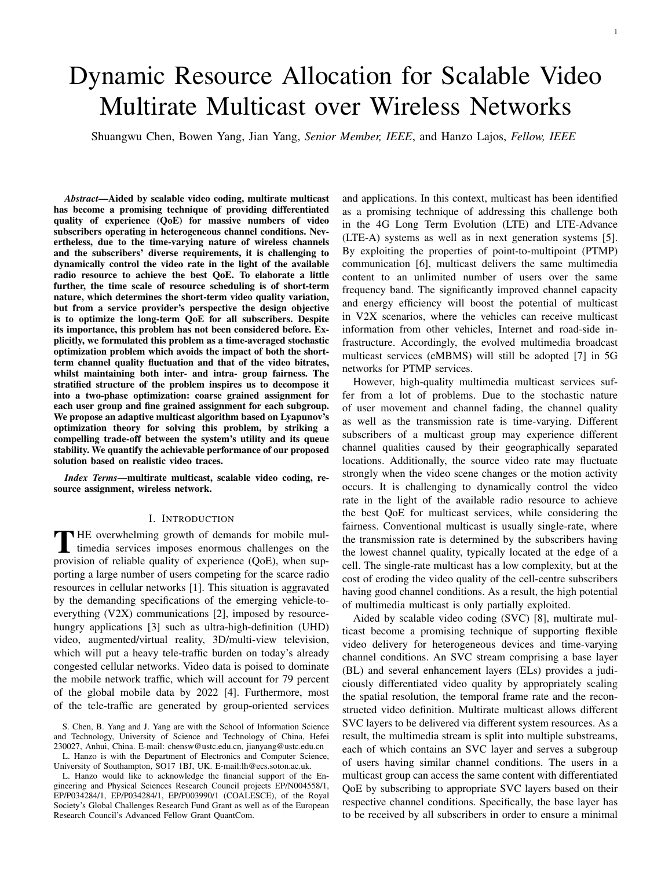# Dynamic Resource Allocation for Scalable Video Multirate Multicast over Wireless Networks

Shuangwu Chen, Bowen Yang, Jian Yang, *Senior Member, IEEE*, and Hanzo Lajos, *Fellow, IEEE*

*Abstract*—Aided by scalable video coding, multirate multicast has become a promising technique of providing differentiated quality of experience (QoE) for massive numbers of video subscribers operating in heterogeneous channel conditions. Nevertheless, due to the time-varying nature of wireless channels and the subscribers' diverse requirements, it is challenging to dynamically control the video rate in the light of the available radio resource to achieve the best QoE. To elaborate a little further, the time scale of resource scheduling is of short-term nature, which determines the short-term video quality variation, but from a service provider's perspective the design objective is to optimize the long-term QoE for all subscribers. Despite its importance, this problem has not been considered before. Explicitly, we formulated this problem as a time-averaged stochastic optimization problem which avoids the impact of both the shortterm channel quality fluctuation and that of the video bitrates, whilst maintaining both inter- and intra- group fairness. The stratified structure of the problem inspires us to decompose it into a two-phase optimization: coarse grained assignment for each user group and fine grained assignment for each subgroup. We propose an adaptive multicast algorithm based on Lyapunov's optimization theory for solving this problem, by striking a compelling trade-off between the system's utility and its queue stability. We quantify the achievable performance of our proposed solution based on realistic video traces.

*Index Terms*—multirate multicast, scalable video coding, resource assignment, wireless network.

## I. INTRODUCTION

THE overwhelming growth of demands for mobile multimedia services imposes enormous challenges on the magnificant (O-F) when we **HE** overwhelming growth of demands for mobile mulprovision of reliable quality of experience (QoE), when supporting a large number of users competing for the scarce radio resources in cellular networks [1]. This situation is aggravated by the demanding specifications of the emerging vehicle-toeverything (V2X) communications [2], imposed by resourcehungry applications [3] such as ultra-high-definition (UHD) video, augmented/virtual reality, 3D/multi-view television, which will put a heavy tele-traffic burden on today's already congested cellular networks. Video data is poised to dominate the mobile network traffic, which will account for 79 percent of the global mobile data by 2022 [4]. Furthermore, most of the tele-traffic are generated by group-oriented services

University of Southampton, SO17 1BJ, UK. E-mail:lh@ecs.soton.ac.uk.

L. Hanzo would like to acknowledge the financial support of the Engineering and Physical Sciences Research Council projects EP/N004558/1, EP/P034284/1, EP/P034284/1, EP/P003990/1 (COALESCE), of the Royal Society's Global Challenges Research Fund Grant as well as of the European Research Council's Advanced Fellow Grant QuantCom.

and applications. In this context, multicast has been identified as a promising technique of addressing this challenge both in the 4G Long Term Evolution (LTE) and LTE-Advance (LTE-A) systems as well as in next generation systems [5]. By exploiting the properties of point-to-multipoint (PTMP) communication [6], multicast delivers the same multimedia content to an unlimited number of users over the same frequency band. The significantly improved channel capacity and energy efficiency will boost the potential of multicast in V2X scenarios, where the vehicles can receive multicast information from other vehicles, Internet and road-side infrastructure. Accordingly, the evolved multimedia broadcast multicast services (eMBMS) will still be adopted [7] in 5G networks for PTMP services.

However, high-quality multimedia multicast services suffer from a lot of problems. Due to the stochastic nature of user movement and channel fading, the channel quality as well as the transmission rate is time-varying. Different subscribers of a multicast group may experience different channel qualities caused by their geographically separated locations. Additionally, the source video rate may fluctuate strongly when the video scene changes or the motion activity occurs. It is challenging to dynamically control the video rate in the light of the available radio resource to achieve the best QoE for multicast services, while considering the fairness. Conventional multicast is usually single-rate, where the transmission rate is determined by the subscribers having the lowest channel quality, typically located at the edge of a cell. The single-rate multicast has a low complexity, but at the cost of eroding the video quality of the cell-centre subscribers having good channel conditions. As a result, the high potential of multimedia multicast is only partially exploited.

Aided by scalable video coding (SVC) [8], multirate multicast become a promising technique of supporting flexible video delivery for heterogeneous devices and time-varying channel conditions. An SVC stream comprising a base layer (BL) and several enhancement layers (ELs) provides a judiciously differentiated video quality by appropriately scaling the spatial resolution, the temporal frame rate and the reconstructed video definition. Multirate multicast allows different SVC layers to be delivered via different system resources. As a result, the multimedia stream is split into multiple substreams, each of which contains an SVC layer and serves a subgroup of users having similar channel conditions. The users in a multicast group can access the same content with differentiated QoE by subscribing to appropriate SVC layers based on their respective channel conditions. Specifically, the base layer has to be received by all subscribers in order to ensure a minimal

S. Chen, B. Yang and J. Yang are with the School of Information Science and Technology, University of Science and Technology of China, Hefei 230027, Anhui, China. E-mail: chensw@ustc.edu.cn, jianyang@ustc.edu.cn L. Hanzo is with the Department of Electronics and Computer Science,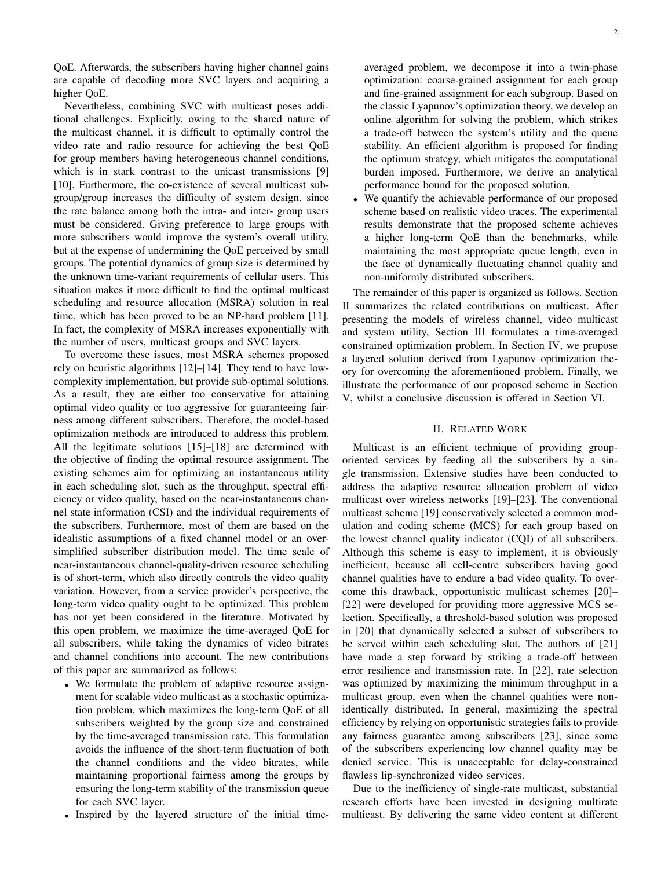QoE. Afterwards, the subscribers having higher channel gains are capable of decoding more SVC layers and acquiring a higher QoE.

Nevertheless, combining SVC with multicast poses additional challenges. Explicitly, owing to the shared nature of the multicast channel, it is difficult to optimally control the video rate and radio resource for achieving the best QoE for group members having heterogeneous channel conditions, which is in stark contrast to the unicast transmissions [9] [10]. Furthermore, the co-existence of several multicast subgroup/group increases the difficulty of system design, since the rate balance among both the intra- and inter- group users must be considered. Giving preference to large groups with more subscribers would improve the system's overall utility, but at the expense of undermining the QoE perceived by small groups. The potential dynamics of group size is determined by the unknown time-variant requirements of cellular users. This situation makes it more difficult to find the optimal multicast scheduling and resource allocation (MSRA) solution in real time, which has been proved to be an NP-hard problem [11]. In fact, the complexity of MSRA increases exponentially with the number of users, multicast groups and SVC layers.

To overcome these issues, most MSRA schemes proposed rely on heuristic algorithms [12]–[14]. They tend to have lowcomplexity implementation, but provide sub-optimal solutions. As a result, they are either too conservative for attaining optimal video quality or too aggressive for guaranteeing fairness among different subscribers. Therefore, the model-based optimization methods are introduced to address this problem. All the legitimate solutions [15]–[18] are determined with the objective of finding the optimal resource assignment. The existing schemes aim for optimizing an instantaneous utility in each scheduling slot, such as the throughput, spectral efficiency or video quality, based on the near-instantaneous channel state information (CSI) and the individual requirements of the subscribers. Furthermore, most of them are based on the idealistic assumptions of a fixed channel model or an oversimplified subscriber distribution model. The time scale of near-instantaneous channel-quality-driven resource scheduling is of short-term, which also directly controls the video quality variation. However, from a service provider's perspective, the long-term video quality ought to be optimized. This problem has not yet been considered in the literature. Motivated by this open problem, we maximize the time-averaged QoE for all subscribers, while taking the dynamics of video bitrates and channel conditions into account. The new contributions of this paper are summarized as follows:

- We formulate the problem of adaptive resource assignment for scalable video multicast as a stochastic optimization problem, which maximizes the long-term QoE of all subscribers weighted by the group size and constrained by the time-averaged transmission rate. This formulation avoids the influence of the short-term fluctuation of both the channel conditions and the video bitrates, while maintaining proportional fairness among the groups by ensuring the long-term stability of the transmission queue for each SVC layer.
- Inspired by the layered structure of the initial time-

2

averaged problem, we decompose it into a twin-phase optimization: coarse-grained assignment for each group and fine-grained assignment for each subgroup. Based on the classic Lyapunov's optimization theory, we develop an online algorithm for solving the problem, which strikes a trade-off between the system's utility and the queue stability. An efficient algorithm is proposed for finding the optimum strategy, which mitigates the computational burden imposed. Furthermore, we derive an analytical performance bound for the proposed solution.

We quantify the achievable performance of our proposed scheme based on realistic video traces. The experimental results demonstrate that the proposed scheme achieves a higher long-term QoE than the benchmarks, while maintaining the most appropriate queue length, even in the face of dynamically fluctuating channel quality and non-uniformly distributed subscribers.

The remainder of this paper is organized as follows. Section II summarizes the related contributions on multicast. After presenting the models of wireless channel, video multicast and system utility, Section III formulates a time-averaged constrained optimization problem. In Section IV, we propose a layered solution derived from Lyapunov optimization theory for overcoming the aforementioned problem. Finally, we illustrate the performance of our proposed scheme in Section V, whilst a conclusive discussion is offered in Section VI.

## II. RELATED WORK

Multicast is an efficient technique of providing grouporiented services by feeding all the subscribers by a single transmission. Extensive studies have been conducted to address the adaptive resource allocation problem of video multicast over wireless networks [19]–[23]. The conventional multicast scheme [19] conservatively selected a common modulation and coding scheme (MCS) for each group based on the lowest channel quality indicator (CQI) of all subscribers. Although this scheme is easy to implement, it is obviously inefficient, because all cell-centre subscribers having good channel qualities have to endure a bad video quality. To overcome this drawback, opportunistic multicast schemes [20]– [22] were developed for providing more aggressive MCS selection. Specifically, a threshold-based solution was proposed in [20] that dynamically selected a subset of subscribers to be served within each scheduling slot. The authors of [21] have made a step forward by striking a trade-off between error resilience and transmission rate. In [22], rate selection was optimized by maximizing the minimum throughput in a multicast group, even when the channel qualities were nonidentically distributed. In general, maximizing the spectral efficiency by relying on opportunistic strategies fails to provide any fairness guarantee among subscribers [23], since some of the subscribers experiencing low channel quality may be denied service. This is unacceptable for delay-constrained flawless lip-synchronized video services.

Due to the inefficiency of single-rate multicast, substantial research efforts have been invested in designing multirate multicast. By delivering the same video content at different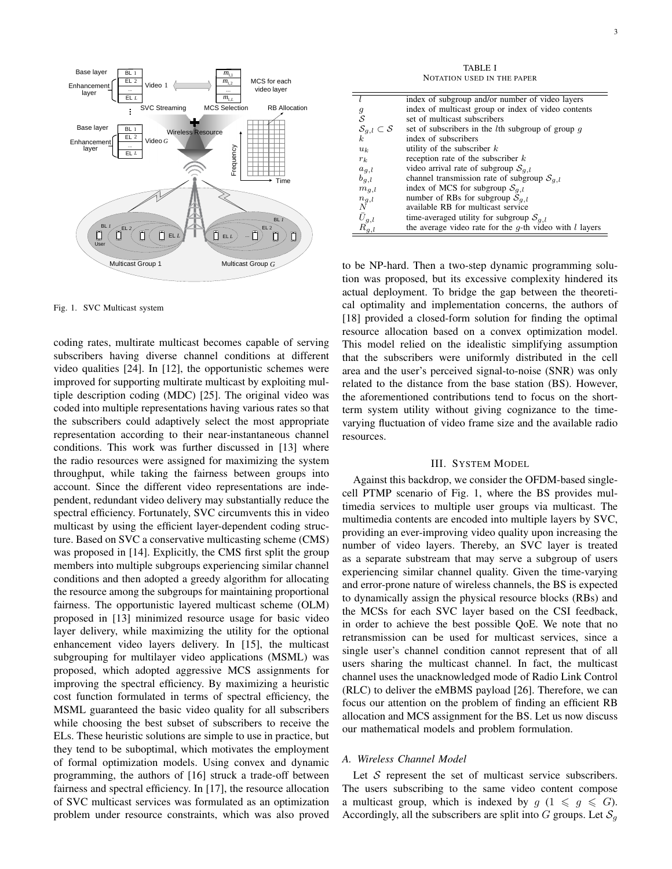

Fig. 1. SVC Multicast system

coding rates, multirate multicast becomes capable of serving subscribers having diverse channel conditions at different video qualities [24]. In [12], the opportunistic schemes were improved for supporting multirate multicast by exploiting multiple description coding (MDC) [25]. The original video was coded into multiple representations having various rates so that the subscribers could adaptively select the most appropriate representation according to their near-instantaneous channel conditions. This work was further discussed in [13] where the radio resources were assigned for maximizing the system throughput, while taking the fairness between groups into account. Since the different video representations are independent, redundant video delivery may substantially reduce the spectral efficiency. Fortunately, SVC circumvents this in video multicast by using the efficient layer-dependent coding structure. Based on SVC a conservative multicasting scheme (CMS) was proposed in [14]. Explicitly, the CMS first split the group members into multiple subgroups experiencing similar channel conditions and then adopted a greedy algorithm for allocating the resource among the subgroups for maintaining proportional fairness. The opportunistic layered multicast scheme (OLM) proposed in [13] minimized resource usage for basic video layer delivery, while maximizing the utility for the optional enhancement video layers delivery. In [15], the multicast subgrouping for multilayer video applications (MSML) was proposed, which adopted aggressive MCS assignments for improving the spectral efficiency. By maximizing a heuristic cost function formulated in terms of spectral efficiency, the MSML guaranteed the basic video quality for all subscribers while choosing the best subset of subscribers to receive the ELs. These heuristic solutions are simple to use in practice, but they tend to be suboptimal, which motivates the employment of formal optimization models. Using convex and dynamic programming, the authors of [16] struck a trade-off between fairness and spectral efficiency. In [17], the resource allocation of SVC multicast services was formulated as an optimization problem under resource constraints, which was also proved

TABLE I NOTATION USED IN THE PAPER

|                                            | index of subgroup and/or number of video layers              |
|--------------------------------------------|--------------------------------------------------------------|
| $\boldsymbol{g}$                           | index of multicast group or index of video contents          |
| $\mathcal{S}_{0}$                          | set of multicast subscribers                                 |
| $\mathcal{S}_{g,l}\subset \mathcal{S}$ $k$ | set of subscribers in the <i>l</i> th subgroup of group $q$  |
|                                            | index of subscribers                                         |
| $u_k$                                      | utility of the subscriber $k$                                |
| $r_k$                                      | reception rate of the subscriber $k$                         |
| $a_{g,l}$                                  | video arrival rate of subgroup $S_{g,l}$                     |
| $b_{g,l}$                                  | channel transmission rate of subgroup $S_{q,l}$              |
| $m_{g,l}$                                  | index of MCS for subgroup $S_{q,l}$                          |
| $n_{\underbar{g},l}$                       | number of RBs for subgroup $S_{g,l}$                         |
| Ν                                          | available RB for multicast service                           |
| $\bar{U}_{g,l}$                            | time-averaged utility for subgroup $S_{q,l}$                 |
| $R_{g,l}$                                  | the average video rate for the $q$ -th video with $l$ layers |
|                                            |                                                              |

*G* to be NP-hard. Then a two-step dynamic programming solution was proposed, but its excessive complexity hindered its actual deployment. To bridge the gap between the theoretical optimality and implementation concerns, the authors of [18] provided a closed-form solution for finding the optimal resource allocation based on a convex optimization model. This model relied on the idealistic simplifying assumption that the subscribers were uniformly distributed in the cell area and the user's perceived signal-to-noise (SNR) was only related to the distance from the base station (BS). However, the aforementioned contributions tend to focus on the shortterm system utility without giving cognizance to the timevarying fluctuation of video frame size and the available radio resources.

## III. SYSTEM MODEL

Against this backdrop, we consider the OFDM-based singlecell PTMP scenario of Fig. 1, where the BS provides multimedia services to multiple user groups via multicast. The multimedia contents are encoded into multiple layers by SVC, providing an ever-improving video quality upon increasing the number of video layers. Thereby, an SVC layer is treated as a separate substream that may serve a subgroup of users experiencing similar channel quality. Given the time-varying and error-prone nature of wireless channels, the BS is expected to dynamically assign the physical resource blocks (RBs) and the MCSs for each SVC layer based on the CSI feedback, in order to achieve the best possible QoE. We note that no retransmission can be used for multicast services, since a single user's channel condition cannot represent that of all users sharing the multicast channel. In fact, the multicast channel uses the unacknowledged mode of Radio Link Control (RLC) to deliver the eMBMS payload [26]. Therefore, we can focus our attention on the problem of finding an efficient RB allocation and MCS assignment for the BS. Let us now discuss our mathematical models and problem formulation.

## *A. Wireless Channel Model*

Let  $S$  represent the set of multicast service subscribers. The users subscribing to the same video content compose a multicast group, which is indexed by  $g \ (1 \leq g \leq G)$ . Accordingly, all the subscribers are split into G groups. Let  $S_q$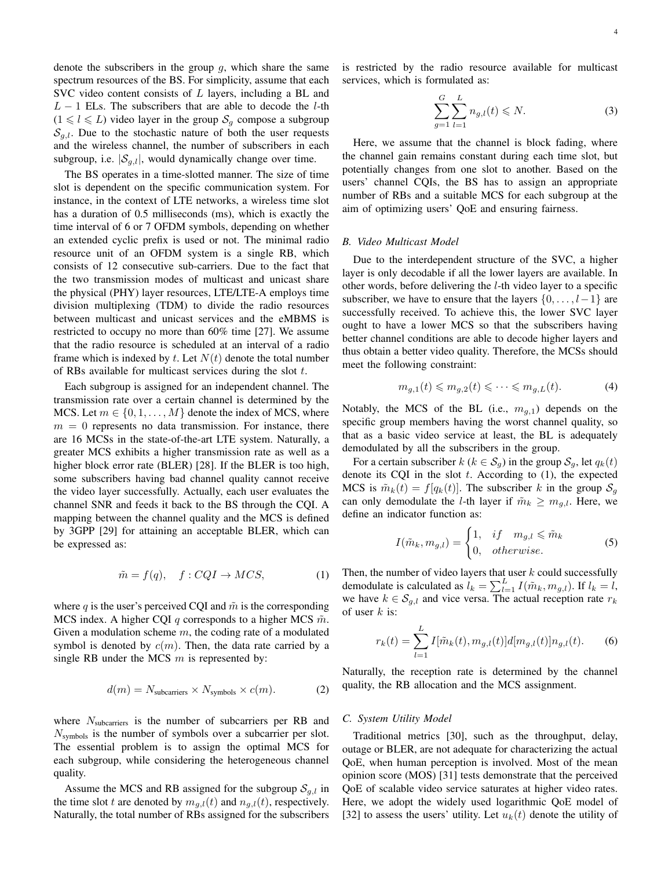denote the subscribers in the group  $q$ , which share the same spectrum resources of the BS. For simplicity, assume that each SVC video content consists of  $L$  layers, including a BL and  $L - 1$  ELs. The subscribers that are able to decode the *l*-th  $(1 \leq l \leq L)$  video layer in the group  $S_g$  compose a subgroup  $S_{q,l}$ . Due to the stochastic nature of both the user requests and the wireless channel, the number of subscribers in each subgroup, i.e.  $|\mathcal{S}_{g,l}|$ , would dynamically change over time.

The BS operates in a time-slotted manner. The size of time slot is dependent on the specific communication system. For instance, in the context of LTE networks, a wireless time slot has a duration of 0.5 milliseconds (ms), which is exactly the time interval of 6 or 7 OFDM symbols, depending on whether an extended cyclic prefix is used or not. The minimal radio resource unit of an OFDM system is a single RB, which consists of 12 consecutive sub-carriers. Due to the fact that the two transmission modes of multicast and unicast share the physical (PHY) layer resources, LTE/LTE-A employs time division multiplexing (TDM) to divide the radio resources between multicast and unicast services and the eMBMS is restricted to occupy no more than 60% time [27]. We assume that the radio resource is scheduled at an interval of a radio frame which is indexed by t. Let  $N(t)$  denote the total number of RBs available for multicast services during the slot t.

Each subgroup is assigned for an independent channel. The transmission rate over a certain channel is determined by the MCS. Let  $m \in \{0, 1, \ldots, M\}$  denote the index of MCS, where  $m = 0$  represents no data transmission. For instance, there are 16 MCSs in the state-of-the-art LTE system. Naturally, a greater MCS exhibits a higher transmission rate as well as a higher block error rate (BLER) [28]. If the BLER is too high, some subscribers having bad channel quality cannot receive the video layer successfully. Actually, each user evaluates the channel SNR and feeds it back to the BS through the CQI. A mapping between the channel quality and the MCS is defined by 3GPP [29] for attaining an acceptable BLER, which can be expressed as:

$$
\tilde{m} = f(q), \quad f: CQI \to MCS,\tag{1}
$$

where q is the user's perceived CQI and  $\tilde{m}$  is the corresponding MCS index. A higher CQI q corresponds to a higher MCS  $\tilde{m}$ . Given a modulation scheme  $m$ , the coding rate of a modulated symbol is denoted by  $c(m)$ . Then, the data rate carried by a single RB under the MCS  $m$  is represented by:

$$
d(m) = N_{\text{subcarriers}} \times N_{\text{symbols}} \times c(m). \tag{2}
$$

where  $N_{\text{subcarriers}}$  is the number of subcarriers per RB and  $N_{\text{swmbols}}$  is the number of symbols over a subcarrier per slot. The essential problem is to assign the optimal MCS for each subgroup, while considering the heterogeneous channel quality.

Assume the MCS and RB assigned for the subgroup  $S_{g,l}$  in the time slot t are denoted by  $m_{g,l}(t)$  and  $n_{g,l}(t)$ , respectively. Naturally, the total number of RBs assigned for the subscribers is restricted by the radio resource available for multicast services, which is formulated as:

$$
\sum_{g=1}^{G} \sum_{l=1}^{L} n_{g,l}(t) \leq N.
$$
 (3)

Here, we assume that the channel is block fading, where the channel gain remains constant during each time slot, but potentially changes from one slot to another. Based on the users' channel CQIs, the BS has to assign an appropriate number of RBs and a suitable MCS for each subgroup at the aim of optimizing users' QoE and ensuring fairness.

### *B. Video Multicast Model*

Due to the interdependent structure of the SVC, a higher layer is only decodable if all the lower layers are available. In other words, before delivering the l-th video layer to a specific subscriber, we have to ensure that the layers  $\{0, \ldots, l-1\}$  are successfully received. To achieve this, the lower SVC layer ought to have a lower MCS so that the subscribers having better channel conditions are able to decode higher layers and thus obtain a better video quality. Therefore, the MCSs should meet the following constraint:

$$
m_{g,1}(t) \leqslant m_{g,2}(t) \leqslant \dots \leqslant m_{g,L}(t). \tag{4}
$$

Notably, the MCS of the BL (i.e.,  $m_{q,1}$ ) depends on the specific group members having the worst channel quality, so that as a basic video service at least, the BL is adequately demodulated by all the subscribers in the group.

For a certain subscriber  $k$  ( $k \in S_q$ ) in the group  $S_q$ , let  $q_k(t)$ denote its CQI in the slot  $t$ . According to  $(1)$ , the expected MCS is  $\tilde{m}_k(t) = f[q_k(t)]$ . The subscriber k in the group  $S_q$ can only demodulate the *l*-th layer if  $\tilde{m}_k \geq m_{q,l}$ . Here, we define an indicator function as:

$$
I(\tilde{m}_k, m_{g,l}) = \begin{cases} 1, & if \quad m_{g,l} \leq \tilde{m}_k \\ 0, & otherwise. \end{cases}
$$
 (5)

Then, the number of video layers that user  $k$  could successfully demodulate is calculated as  $l_k = \sum_{l=1}^{L} I(\tilde{m}_k, m_{g,l})$ . If  $l_k = l$ , we have  $k \in S_{g,l}$  and vice versa. The actual reception rate  $r_k$ of user  $k$  is:

$$
r_k(t) = \sum_{l=1}^{L} I[\tilde{m}_k(t), m_{g,l}(t)]d[m_{g,l}(t)]n_{g,l}(t).
$$
 (6)

Naturally, the reception rate is determined by the channel quality, the RB allocation and the MCS assignment.

## *C. System Utility Model*

Traditional metrics [30], such as the throughput, delay, outage or BLER, are not adequate for characterizing the actual QoE, when human perception is involved. Most of the mean opinion score (MOS) [31] tests demonstrate that the perceived QoE of scalable video service saturates at higher video rates. Here, we adopt the widely used logarithmic QoE model of [32] to assess the users' utility. Let  $u_k(t)$  denote the utility of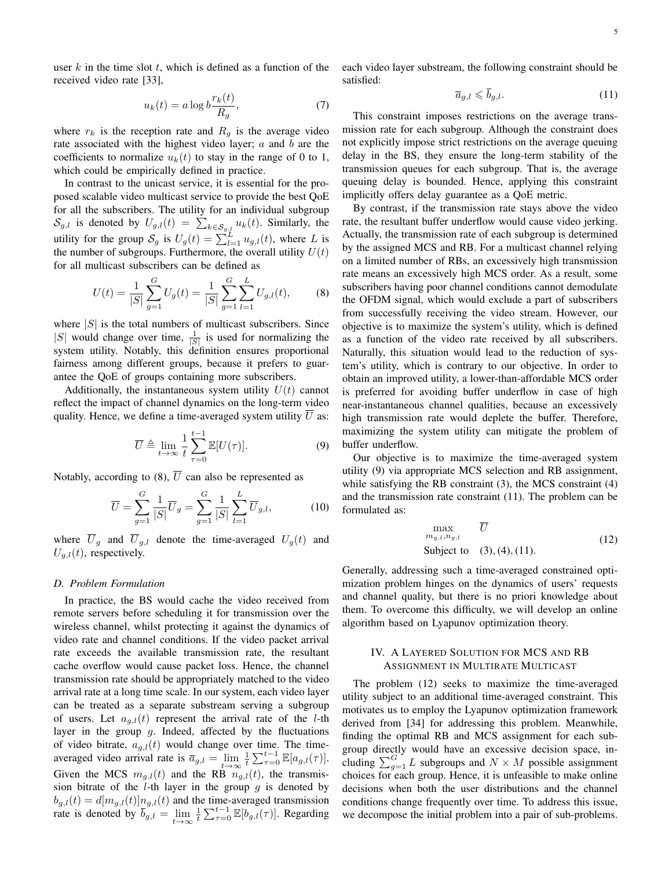user  $k$  in the time slot  $t$ , which is defined as a function of the received video rate [33],

$$
u_k(t) = a \log b \frac{r_k(t)}{R_g},\tag{7}
$$

where  $r_k$  is the reception rate and  $R_q$  is the average video rate associated with the highest video layer;  $a$  and  $b$  are the coefficients to normalize  $u_k(t)$  to stay in the range of 0 to 1, which could be empirically defined in practice.

In contrast to the unicast service, it is essential for the proposed scalable video multicast service to provide the best QoE for all the subscribers. The utility for an individual subgroup  $\mathcal{S}_{g,l}$  is denoted by  $U_{g,l}(t) = \sum_{k \in \mathcal{S}_{g,l}} u_k(t)$ . Similarly, the utility for the group  $S_g$  is  $U_g(t) = \sum_{l=1}^{L} u_{g,l}(t)$ , where L is the number of subgroups. Furthermore, the overall utility  $U(t)$ for all multicast subscribers can be defined as

$$
U(t) = \frac{1}{|S|} \sum_{g=1}^{G} U_g(t) = \frac{1}{|S|} \sum_{g=1}^{G} \sum_{l=1}^{L} U_{g,l}(t),
$$
 (8)

where  $|S|$  is the total numbers of multicast subscribers. Since |S| would change over time,  $\frac{1}{|S|}$  is used for normalizing the system utility. Notably, this definition ensures proportional fairness among different groups, because it prefers to guarantee the QoE of groups containing more subscribers.

Additionally, the instantaneous system utility  $U(t)$  cannot reflect the impact of channel dynamics on the long-term video quality. Hence, we define a time-averaged system utility  $\overline{U}$  as:

$$
\overline{U} \triangleq \lim_{t \to \infty} \frac{1}{t} \sum_{\tau=0}^{t-1} \mathbb{E}[U(\tau)]. \tag{9}
$$

Notably, according to (8),  $\overline{U}$  can also be represented as

$$
\overline{U} = \sum_{g=1}^{G} \frac{1}{|S|} \overline{U}_g = \sum_{g=1}^{G} \frac{1}{|S|} \sum_{l=1}^{L} \overline{U}_{g,l},
$$
(10)

where  $\overline{U}_g$  and  $\overline{U}_{g,l}$  denote the time-averaged  $U_g(t)$  and  $U_{q,l}(t)$ , respectively.

#### *D. Problem Formulation*

In practice, the BS would cache the video received from remote servers before scheduling it for transmission over the wireless channel, whilst protecting it against the dynamics of video rate and channel conditions. If the video packet arrival rate exceeds the available transmission rate, the resultant cache overflow would cause packet loss. Hence, the channel transmission rate should be appropriately matched to the video arrival rate at a long time scale. In our system, each video layer can be treated as a separate substream serving a subgroup of users. Let  $a_{g,l}(t)$  represent the arrival rate of the *l*-th layer in the group  $g$ . Indeed, affected by the fluctuations of video bitrate,  $a_{g,l}(t)$  would change over time. The timeaveraged video arrival rate is  $\overline{a}_{g,l} = \lim_{t \to \infty} \frac{1}{t} \sum_{\tau=0}^{t-1} \mathbb{E}[a_{g,l}(\tau)].$ Given the MCS  $m_{g,l}(t)$  and the RB  $n_{g,l}(t)$ , the transmission bitrate of the  $l$ -th layer in the group  $q$  is denoted by  $b_{g,l}(t) = d[m_{g,l}(t)] n_{g,l}(t)$  and the time-averaged transmission rate is denoted by  $\overline{b}_{g,l} = \lim_{t \to \infty} \frac{1}{t} \sum_{\tau=0}^{t-1} \mathbb{E}[b_{g,l}(\tau)].$  Regarding each video layer substream, the following constraint should be satisfied:

$$
\overline{a}_{g,l} \leqslant \overline{b}_{g,l}.\tag{11}
$$

This constraint imposes restrictions on the average transmission rate for each subgroup. Although the constraint does not explicitly impose strict restrictions on the average queuing delay in the BS, they ensure the long-term stability of the transmission queues for each subgroup. That is, the average queuing delay is bounded. Hence, applying this constraint implicitly offers delay guarantee as a QoE metric.

By contrast, if the transmission rate stays above the video rate, the resultant buffer underflow would cause video jerking. Actually, the transmission rate of each subgroup is determined by the assigned MCS and RB. For a multicast channel relying on a limited number of RBs, an excessively high transmission rate means an excessively high MCS order. As a result, some subscribers having poor channel conditions cannot demodulate the OFDM signal, which would exclude a part of subscribers from successfully receiving the video stream. However, our objective is to maximize the system's utility, which is defined as a function of the video rate received by all subscribers. Naturally, this situation would lead to the reduction of system's utility, which is contrary to our objective. In order to obtain an improved utility, a lower-than-affordable MCS order is preferred for avoiding buffer underflow in case of high near-instantaneous channel qualities, because an excessively high transmission rate would deplete the buffer. Therefore, maximizing the system utility can mitigate the problem of buffer underflow.

Our objective is to maximize the time-averaged system utility (9) via appropriate MCS selection and RB assignment, while satisfying the RB constraint (3), the MCS constraint (4) and the transmission rate constraint (11). The problem can be formulated as:

$$
\max_{m_{g,l}, n_{g,l}} \overline{U}
$$
\n
$$
\text{Subject to} \quad (3), (4), (11). \tag{12}
$$

Generally, addressing such a time-averaged constrained optimization problem hinges on the dynamics of users' requests and channel quality, but there is no priori knowledge about them. To overcome this difficulty, we will develop an online algorithm based on Lyapunov optimization theory.

# IV. A LAYERED SOLUTION FOR MCS AND RB ASSIGNMENT IN MULTIRATE MULTICAST

The problem (12) seeks to maximize the time-averaged utility subject to an additional time-averaged constraint. This motivates us to employ the Lyapunov optimization framework derived from [34] for addressing this problem. Meanwhile, finding the optimal RB and MCS assignment for each subgroup directly would have an excessive decision space, including  $\sum_{g=1}^{G} L$  subgroups and  $N \times M$  possible assignment choices for each group. Hence, it is unfeasible to make online decisions when both the user distributions and the channel conditions change frequently over time. To address this issue, we decompose the initial problem into a pair of sub-problems.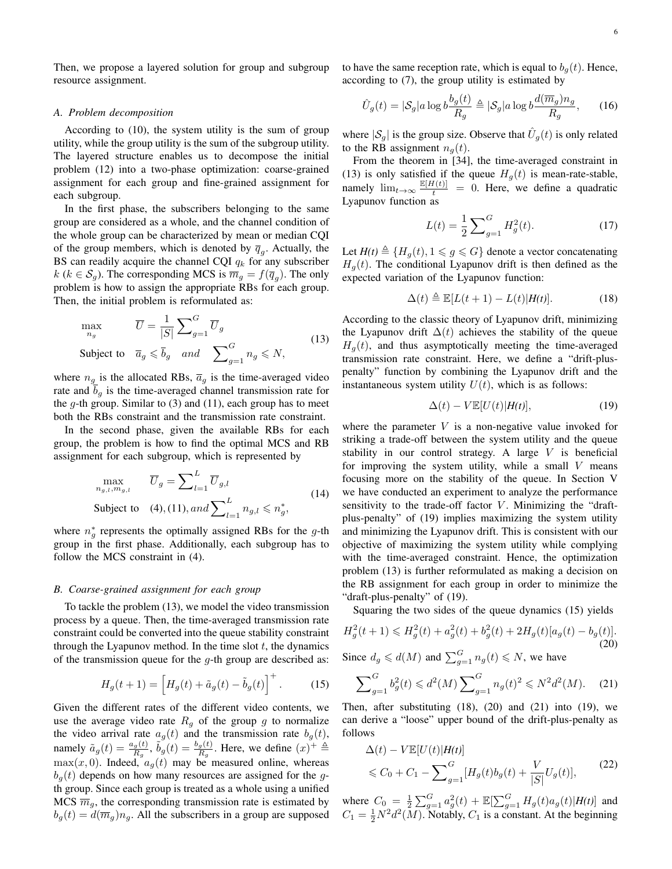Then, we propose a layered solution for group and subgroup resource assignment.

#### *A. Problem decomposition*

According to (10), the system utility is the sum of group utility, while the group utility is the sum of the subgroup utility. The layered structure enables us to decompose the initial problem (12) into a two-phase optimization: coarse-grained assignment for each group and fine-grained assignment for each subgroup.

In the first phase, the subscribers belonging to the same group are considered as a whole, and the channel condition of the whole group can be characterized by mean or median CQI of the group members, which is denoted by  $\overline{q}_g$ . Actually, the BS can readily acquire the channel CQI  $q_k$  for any subscriber  $k$  ( $k \in S_g$ ). The corresponding MCS is  $\overline{m}_g = f(\overline{q}_g)$ . The only problem is how to assign the appropriate RBs for each group. Then, the initial problem is reformulated as:

$$
\max_{n_g} \qquad \overline{U} = \frac{1}{|S|} \sum_{g=1}^{G} \overline{U}_g
$$
\n
$$
\text{Subject to} \quad \overline{a}_g \le \overline{b}_g \quad \text{and} \quad \sum_{g=1}^{G} n_g \le N,\tag{13}
$$

where  $n_g$  is the allocated RBs,  $\overline{a}_g$  is the time-averaged video rate and  $\overline{b}_g$  is the time-averaged channel transmission rate for the  $g$ -th group. Similar to (3) and (11), each group has to meet both the RBs constraint and the transmission rate constraint.

In the second phase, given the available RBs for each group, the problem is how to find the optimal MCS and RB assignment for each subgroup, which is represented by

$$
\max_{n_{g,l}, m_{g,l}} \quad \overline{U}_g = \sum_{l=1}^L \overline{U}_{g,l}
$$
\n
$$
\text{Subject to} \quad (4), (11), and \sum_{l=1}^L n_{g,l} \leqslant n_g^*,
$$
\n
$$
(14)
$$

where  $n_g^*$  represents the optimally assigned RBs for the g-th group in the first phase. Additionally, each subgroup has to follow the MCS constraint in (4).

#### *B. Coarse-grained assignment for each group*

To tackle the problem (13), we model the video transmission process by a queue. Then, the time-averaged transmission rate constraint could be converted into the queue stability constraint through the Lyapunov method. In the time slot  $t$ , the dynamics of the transmission queue for the  $q$ -th group are described as:

$$
H_g(t+1) = \left[H_g(t) + \tilde{a}_g(t) - \tilde{b}_g(t)\right]^+.
$$
 (15)

Given the different rates of the different video contents, we use the average video rate  $R<sub>q</sub>$  of the group g to normalize the video arrival rate  $a_g(t)$  and the transmission rate  $b_g(t)$ , namely  $\tilde{a}_g(t) = \frac{a_g(t)}{R_g}$ ,  $\tilde{b}_g(t) = \frac{b_g(t)}{R_g}$ . Here, we define  $(x)^+ \triangleq$  $\max(x, 0)$ . Indeed,  $a_g(t)$  may be measured online, whereas  $b_q(t)$  depends on how many resources are assigned for the gth group. Since each group is treated as a whole using a unified MCS  $\overline{m}_g$ , the corresponding transmission rate is estimated by  $b_q(t) = d(\overline{m}_q) n_q$ . All the subscribers in a group are supposed to have the same reception rate, which is equal to  $b_q(t)$ . Hence, according to (7), the group utility is estimated by

$$
\hat{U}_g(t) = |\mathcal{S}_g| a \log b \frac{b_g(t)}{R_g} \triangleq |\mathcal{S}_g| a \log b \frac{d(\overline{m}_g) n_g}{R_g}, \qquad (16)
$$

where  $|\mathcal{S}_g|$  is the group size. Observe that  $\hat{U}_g(t)$  is only related to the RB assignment  $n_q(t)$ .

From the theorem in [34], the time-averaged constraint in (13) is only satisfied if the queue  $H<sub>g</sub>(t)$  is mean-rate-stable, namely  $\lim_{t\to\infty} \frac{\mathbb{E}[H(t)]}{t} = 0$ . Here, we define a quadratic Lyapunov function as

$$
L(t) = \frac{1}{2} \sum_{g=1}^{G} H_g^2(t).
$$
 (17)

Let  $H(t) \triangleq {H_q(t), 1 \leq g \leq G}$  denote a vector concatenating  $H_q(t)$ . The conditional Lyapunov drift is then defined as the expected variation of the Lyapunov function:

$$
\Delta(t) \triangleq \mathbb{E}[L(t+1) - L(t)|H(t)]. \tag{18}
$$

According to the classic theory of Lyapunov drift, minimizing the Lyapunov drift  $\Delta(t)$  achieves the stability of the queue  $H<sub>q</sub>(t)$ , and thus asymptotically meeting the time-averaged transmission rate constraint. Here, we define a "drift-pluspenalty" function by combining the Lyapunov drift and the instantaneous system utility  $U(t)$ , which is as follows:

$$
\Delta(t) - V \mathbb{E}[U(t)|H(t)],\tag{19}
$$

where the parameter  $V$  is a non-negative value invoked for striking a trade-off between the system utility and the queue stability in our control strategy. A large  $V$  is beneficial for improving the system utility, while a small  $V$  means focusing more on the stability of the queue. In Section V we have conducted an experiment to analyze the performance sensitivity to the trade-off factor  $V$ . Minimizing the "draftplus-penalty" of (19) implies maximizing the system utility and minimizing the Lyapunov drift. This is consistent with our objective of maximizing the system utility while complying with the time-averaged constraint. Hence, the optimization problem (13) is further reformulated as making a decision on the RB assignment for each group in order to minimize the "draft-plus-penalty" of (19).

Squaring the two sides of the queue dynamics (15) yields

$$
H_g^2(t+1) \le H_g^2(t) + a_g^2(t) + b_g^2(t) + 2H_g(t)[a_g(t) - b_g(t)].
$$
\n(20)

Since  $d_g \le d(M)$  and  $\sum_{g=1}^G n_g(t) \le N$ , we have

$$
\sum_{g=1}^{G} b_g^2(t) \le d^2(M) \sum_{g=1}^{G} n_g(t)^2 \le N^2 d^2(M). \tag{21}
$$

Then, after substituting  $(18)$ ,  $(20)$  and  $(21)$  into  $(19)$ , we can derive a "loose" upper bound of the drift-plus-penalty as follows

$$
\Delta(t) - V \mathbb{E}[U(t)|H(t)] \n\leq C_0 + C_1 - \sum_{g=1}^G [H_g(t)b_g(t) + \frac{V}{|S|}U_g(t)],
$$
\n(22)

where  $C_0 = \frac{1}{2} \sum_{g=1}^G a_g^2(t) + \mathbb{E}[\sum_{g=1}^G H_g(t)a_g(t)|H(t)]$  and  $C_1 = \frac{1}{2}N^2d^2(M)$ . Notably,  $C_1$  is a constant. At the beginning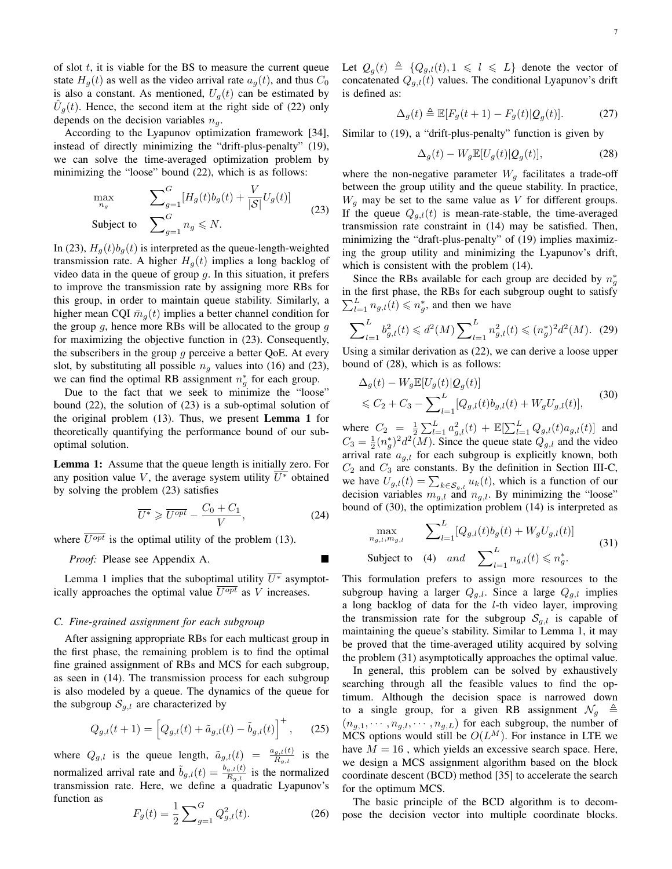of slot  $t$ , it is viable for the BS to measure the current queue state  $H_q(t)$  as well as the video arrival rate  $a_q(t)$ , and thus  $C_0$ is also a constant. As mentioned,  $U_q(t)$  can be estimated by  $\hat{U}_g(t)$ . Hence, the second item at the right side of (22) only depends on the decision variables  $n<sub>q</sub>$ .

According to the Lyapunov optimization framework [34], instead of directly minimizing the "drift-plus-penalty" (19), we can solve the time-averaged optimization problem by minimizing the "loose" bound (22), which is as follows:

$$
\max_{n_g} \qquad \sum_{g=1}^{G} [H_g(t)b_g(t) + \frac{V}{|S|}U_g(t)]
$$
\n
$$
\text{Subject to} \quad \sum_{g=1}^{G} n_g \leq N. \tag{23}
$$

In (23),  $H_q(t)b_q(t)$  is interpreted as the queue-length-weighted transmission rate. A higher  $H<sub>q</sub>(t)$  implies a long backlog of video data in the queue of group  $q$ . In this situation, it prefers to improve the transmission rate by assigning more RBs for this group, in order to maintain queue stability. Similarly, a higher mean CQI  $\bar{m}_q(t)$  implies a better channel condition for the group  $g$ , hence more RBs will be allocated to the group  $g$ for maximizing the objective function in (23). Consequently, the subscribers in the group q perceive a better QoE. At every slot, by substituting all possible  $n<sub>g</sub>$  values into (16) and (23), we can find the optimal RB assignment  $n_g^*$  for each group.

Due to the fact that we seek to minimize the "loose" bound (22), the solution of (23) is a sub-optimal solution of the original problem (13). Thus, we present Lemma 1 for theoretically quantifying the performance bound of our suboptimal solution.

Lemma 1: Assume that the queue length is initially zero. For any position value V, the average system utility  $\overline{U^*}$  obtained by solving the problem (23) satisfies

$$
\overline{U^*} \geqslant \overline{U^{opt}} - \frac{C_0 + C_1}{V},\tag{24}
$$

where  $\overline{U^{opt}}$  is the optimal utility of the problem (13).

*Proof:* Please see Appendix A.

Lemma 1 implies that the suboptimal utility  $\overline{U^*}$  asymptotically approaches the optimal value  $\overline{U^{opt}}$  as V increases.

# *C. Fine-grained assignment for each subgroup*

After assigning appropriate RBs for each multicast group in the first phase, the remaining problem is to find the optimal fine grained assignment of RBs and MCS for each subgroup, as seen in (14). The transmission process for each subgroup is also modeled by a queue. The dynamics of the queue for the subgroup  $S_{q,l}$  are characterized by

$$
Q_{g,l}(t+1) = \left[Q_{g,l}(t) + \tilde{a}_{g,l}(t) - \tilde{b}_{g,l}(t)\right]^+, \quad (25)
$$

where  $Q_{g,l}$  is the queue length,  $\tilde{a}_{g,l}(t) = \frac{a_{g,l}(t)}{R_{g,l}}$  is the normalized arrival rate and  $\tilde{b}_{g,l}(t) = \frac{b_{g,l}(t)}{R_{g,l}}$  is the normalized transmission rate. Here, we define a quadratic Lyapunov's function as

$$
F_g(t) = \frac{1}{2} \sum_{g=1}^{G} Q_{g,l}^2(t).
$$
 (26)

Let  $Q_g(t) \triangleq \{Q_{g,l}(t), 1 \leq l \leq L\}$  denote the vector of concatenated  $Q_{q,l}(t)$  values. The conditional Lyapunov's drift is defined as:

$$
\Delta_g(t) \triangleq \mathbb{E}[F_g(t+1) - F_g(t)|Q_g(t)]. \tag{27}
$$

Similar to (19), a "drift-plus-penalty" function is given by

$$
\Delta_g(t) - W_g \mathbb{E}[U_g(t)|Q_g(t)],\tag{28}
$$

where the non-negative parameter  $W_g$  facilitates a trade-off between the group utility and the queue stability. In practice,  $W_q$  may be set to the same value as V for different groups. If the queue  $Q_{g,l}(t)$  is mean-rate-stable, the time-averaged transmission rate constraint in (14) may be satisfied. Then, minimizing the "draft-plus-penalty" of (19) implies maximizing the group utility and minimizing the Lyapunov's drift, which is consistent with the problem (14).

Since the RBs available for each group are decided by  $n_g^*$ in the first phase, the RBs for each subgroup ought to satisfy  $\sum_{l=1}^{L} n_{g,l}(t) \leqslant n_g^*$ , and then we have

$$
\sum_{l=1}^{L} b_{g,l}^{2}(t) \leq d^{2}(M) \sum_{l=1}^{L} n_{g,l}^{2}(t) \leq (n_{g}^{*})^{2} d^{2}(M). \tag{29}
$$

Using a similar derivation as (22), we can derive a loose upper bound of (28), which is as follows:

$$
\Delta_g(t) - W_g \mathbb{E}[U_g(t)|Q_g(t)]
$$
  
\$\leq C\_2 + C\_3 - \sum\_{l=1}^L [Q\_{g,l}(t)b\_{g,l}(t) + W\_g U\_{g,l}(t)], \qquad (30)\$

where  $C_2 = \frac{1}{2} \sum_{l=1}^{L} a_{g,l}^2(t) + \mathbb{E}[\sum_{l=1}^{L} Q_{g,l}(t) a_{g,l}(t)]$  and  $C_3 = \frac{1}{2} (n_g^*)^2 d^2(M)$ . Since the queue state  $Q_{g,l}$  and the video arrival rate  $a_{g,l}$  for each subgroup is explicitly known, both  $C_2$  and  $C_3$  are constants. By the definition in Section III-C, we have  $U_{g,l}(t) = \sum_{k \in \mathcal{S}_{g,l}} u_k(t)$ , which is a function of our decision variables  $m_{g,l}$  and  $n_{g,l}$ . By minimizing the "loose" bound of (30), the optimization problem (14) is interpreted as

$$
\max_{n_{g,l}, m_{g,l}} \sum_{l=1}^{L} [Q_{g,l}(t)b_g(t) + W_g U_{g,l}(t)]
$$
  
Subject to (4) and 
$$
\sum_{l=1}^{L} n_{g,l}(t) \leq n_g^*.
$$
 (31)

This formulation prefers to assign more resources to the subgroup having a larger  $Q_{q,l}$ . Since a large  $Q_{q,l}$  implies a long backlog of data for the l-th video layer, improving the transmission rate for the subgroup  $S_{q,l}$  is capable of maintaining the queue's stability. Similar to Lemma 1, it may be proved that the time-averaged utility acquired by solving the problem (31) asymptotically approaches the optimal value.

In general, this problem can be solved by exhaustively searching through all the feasible values to find the optimum. Although the decision space is narrowed down to a single group, for a given RB assignment  $\mathcal{N}_g \triangleq$  $(n_{g,1}, \dots, n_{g,l}, \dots, n_{g,L})$  for each subgroup, the number of MCS options would still be  $O(L^M)$ . For instance in LTE we have  $M = 16$ , which yields an excessive search space. Here, we design a MCS assignment algorithm based on the block coordinate descent (BCD) method [35] to accelerate the search for the optimum MCS.

The basic principle of the BCD algorithm is to decompose the decision vector into multiple coordinate blocks.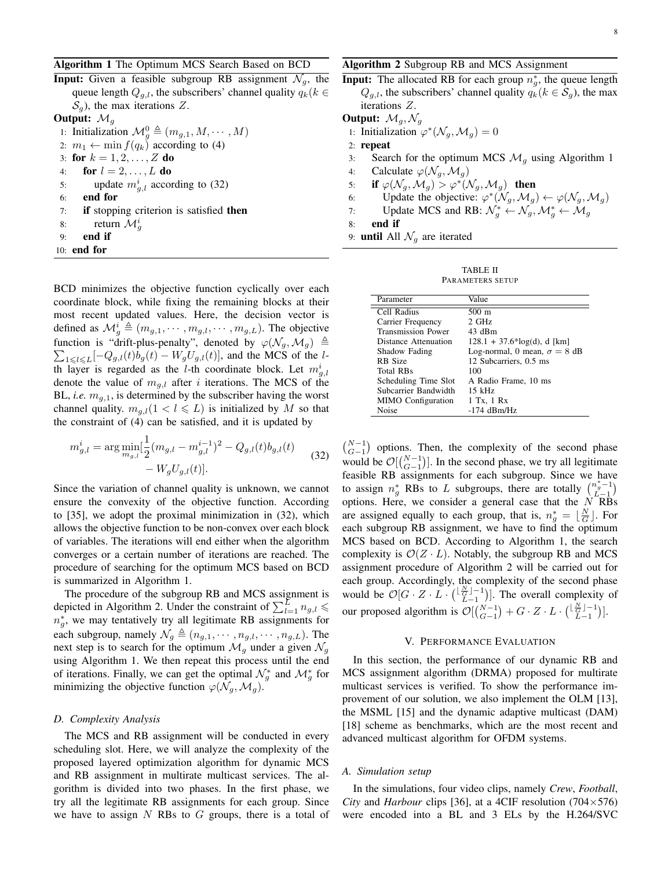Algorithm 1 The Optimum MCS Search Based on BCD

**Input:** Given a feasible subgroup RB assignment  $\mathcal{N}_q$ , the queue length  $Q_{g,l}$ , the subscribers' channel quality  $q_k(k \in$  $\mathcal{S}_q$ ), the max iterations Z. Output:  $\mathcal{M}_g$ 1: Initialization  $\mathcal{M}_g^0 \triangleq (m_{g,1}, M, \cdots, M)$ 

2:  $m_1 \leftarrow \min f(q_k)$  according to (4) 3: for  $k = 1, 2, ..., Z$  do 4: for  $l = 2, \ldots, L$  do 5: update  $m_{g,l}^i$  according to (32) 6: end for 7: if stopping criterion is satisfied then 8: return  $\mathcal{M}_g^i$ 9: end if 10: end for

BCD minimizes the objective function cyclically over each coordinate block, while fixing the remaining blocks at their most recent updated values. Here, the decision vector is defined as  $\mathcal{M}_g^i \triangleq (m_{g,1}, \dots, m_{g,l}, \dots, m_{g,L})$ . The objective function is "drift-plus-penalty", denoted by  $\varphi(\mathcal{N}_g, \mathcal{M}_g) \triangleq$  $\sum_{1 \leq l \leq L} [-Q_{g,l}(t)b_g(t) - W_g U_{g,l}(t)]$ , and the MCS of the lth layer is regarded as the *l*-th coordinate block. Let  $m_{g,l}^i$ denote the value of  $m_{g,l}$  after i iterations. The MCS of the BL, *i.e.*  $m_{q,1}$ , is determined by the subscriber having the worst channel quality.  $m_{g,l}(1 < l \leq L)$  is initialized by M so that the constraint of (4) can be satisfied, and it is updated by

$$
m_{g,l}^{i} = \arg \min_{m_{g,l}} \left[ \frac{1}{2} (m_{g,l} - m_{g,l}^{i-1})^2 - Q_{g,l}(t) b_{g,l}(t) - W_g U_{g,l}(t) \right].
$$
\n(32)

Since the variation of channel quality is unknown, we cannot ensure the convexity of the objective function. According to [35], we adopt the proximal minimization in (32), which allows the objective function to be non-convex over each block of variables. The iterations will end either when the algorithm converges or a certain number of iterations are reached. The procedure of searching for the optimum MCS based on BCD is summarized in Algorithm 1.

The procedure of the subgroup RB and MCS assignment is depicted in Algorithm 2. Under the constraint of  $\sum_{l=1}^{L} n_{g,l} \leqslant$  $n_g^*$ , we may tentatively try all legitimate RB assignments for each subgroup, namely  $\mathcal{N}_g \triangleq (n_{g,1}, \dots, n_{g,l}, \dots, n_{g,L})$ . The next step is to search for the optimum  $\mathcal{M}_q$  under a given  $\mathcal{N}_q$ using Algorithm 1. We then repeat this process until the end of iterations. Finally, we can get the optimal  $\mathcal{N}_g^*$  and  $\mathcal{M}_g^*$  for minimizing the objective function  $\varphi(\mathcal{N}_g, \mathcal{M}_g)$ .

# *D. Complexity Analysis*

The MCS and RB assignment will be conducted in every scheduling slot. Here, we will analyze the complexity of the proposed layered optimization algorithm for dynamic MCS and RB assignment in multirate multicast services. The algorithm is divided into two phases. In the first phase, we try all the legitimate RB assignments for each group. Since we have to assign  $N$  RBs to  $G$  groups, there is a total of Algorithm 2 Subgroup RB and MCS Assignment

**Input:** The allocated RB for each group  $n_g^*$ , the queue length  $Q_{g,l}$ , the subscribers' channel quality  $q_k (k \in S_g)$ , the max iterations Z.

**Output:**  $\mathcal{M}_g$ ,  $\mathcal{N}_g$ 

- 1: Initialization  $\varphi^*(\mathcal{N}_g, \mathcal{M}_g) = 0$
- 2: repeat
- 3: Search for the optimum MCS  $\mathcal{M}_q$  using Algorithm 1
- 4: Calculate  $\varphi(\mathcal{N}_q, \mathcal{M}_q)$
- 5: if  $\varphi(\mathcal{N}_g, \mathcal{M}_g) > \varphi^*(\mathcal{N}_g, \mathcal{M}_g)$  then
- 6: Update the objective:  $\varphi^*(\mathcal{N}_g, \mathcal{M}_g) \leftarrow \varphi(\mathcal{N}_g, \mathcal{M}_g)$
- 7: Update MCS and RB:  $\mathcal{N}_g^* \leftarrow \mathcal{N}_g$ ,  $\mathcal{M}_g^* \leftarrow \mathcal{M}_g$
- 8: end if
- 9: **until** All  $\mathcal{N}_q$  are iterated

| TABLE II         |  |  |  |  |
|------------------|--|--|--|--|
| PARAMETERS SETUP |  |  |  |  |

| Parameter                 | Value                               |
|---------------------------|-------------------------------------|
| Cell Radius               | 500 m                               |
| Carrier Frequency         | 2 GHz                               |
| <b>Transmission Power</b> | 43 dBm                              |
| Distance Attenuation      | $128.1 + 37.6*log(d), d$ [km]       |
| Shadow Fading             | Log-normal, 0 mean, $\sigma = 8$ dB |
| RB Size                   | 12 Subcarriers, 0.5 ms              |
| Total RBs                 | 100                                 |
| Scheduling Time Slot      | A Radio Frame, 10 ms                |
| Subcarrier Bandwidth      | $15$ kHz                            |
| <b>MIMO</b> Configuration | 1 Tx, 1 Rx                          |
| Noise                     | $-174$ dBm/Hz                       |

 $\binom{N-1}{G-1}$  options. Then, the complexity of the second phase would be  $\mathcal{O}[\binom{N-1}{G-1}]$ . In the second phase, we try all legitimate feasible RB assignments for each subgroup. Since we have to assign  $n_g^*$  RBs to L subgroups, there are totally  $\begin{pmatrix} n_g^* - 1 \\ L - 1 \end{pmatrix}$ options. Here, we consider a general case that the  $N$ RBs are assigned equally to each group, that is,  $n_g^* = \lfloor \frac{N}{G} \rfloor$ . For each subgroup RB assignment, we have to find the optimum MCS based on BCD. According to Algorithm 1, the search complexity is  $\mathcal{O}(Z \cdot L)$ . Notably, the subgroup RB and MCS assignment procedure of Algorithm 2 will be carried out for each group. Accordingly, the complexity of the second phase would be  $\mathcal{O}[G \cdot Z \cdot L \cdot (\frac{\lfloor \frac{N}{G} \rfloor - 1}{L-1})]$ . The overall complexity of our proposed algorithm is  $\mathcal{O}[(\binom{N-1}{G-1}) + G \cdot Z \cdot L \cdot (\lfloor \frac{N-1}{G-1} \rfloor)$ .

## V. PERFORMANCE EVALUATION

In this section, the performance of our dynamic RB and MCS assignment algorithm (DRMA) proposed for multirate multicast services is verified. To show the performance improvement of our solution, we also implement the OLM [13], the MSML [15] and the dynamic adaptive multicast (DAM) [18] scheme as benchmarks, which are the most recent and advanced multicast algorithm for OFDM systems.

## *A. Simulation setup*

In the simulations, four video clips, namely *Crew*, *Football*, *City* and *Harbour* clips [36], at a 4CIF resolution  $(704 \times 576)$ were encoded into a BL and 3 ELs by the H.264/SVC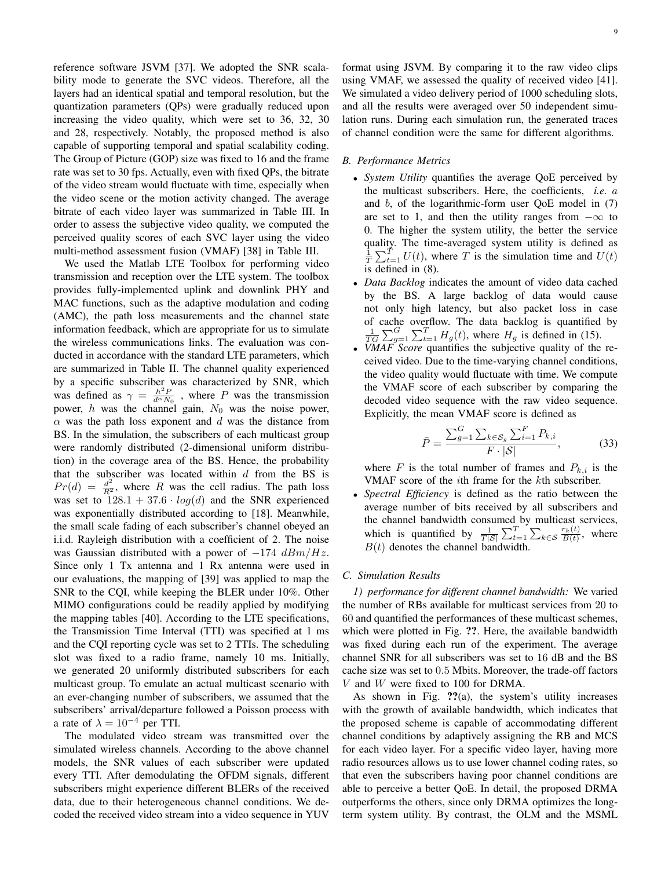reference software JSVM [37]. We adopted the SNR scalability mode to generate the SVC videos. Therefore, all the layers had an identical spatial and temporal resolution, but the quantization parameters (QPs) were gradually reduced upon increasing the video quality, which were set to 36, 32, 30 and 28, respectively. Notably, the proposed method is also capable of supporting temporal and spatial scalability coding. The Group of Picture (GOP) size was fixed to 16 and the frame rate was set to 30 fps. Actually, even with fixed QPs, the bitrate of the video stream would fluctuate with time, especially when the video scene or the motion activity changed. The average bitrate of each video layer was summarized in Table III. In order to assess the subjective video quality, we computed the perceived quality scores of each SVC layer using the video multi-method assessment fusion (VMAF) [38] in Table III.

We used the Matlab LTE Toolbox for performing video transmission and reception over the LTE system. The toolbox provides fully-implemented uplink and downlink PHY and MAC functions, such as the adaptive modulation and coding (AMC), the path loss measurements and the channel state information feedback, which are appropriate for us to simulate the wireless communications links. The evaluation was conducted in accordance with the standard LTE parameters, which are summarized in Table II. The channel quality experienced by a specific subscriber was characterized by SNR, which was defined as  $\gamma = \frac{h^2 P}{d^{\alpha} N_0}$ , where P was the transmission power, h was the channel gain,  $N_0$  was the noise power,  $\alpha$  was the path loss exponent and  $d$  was the distance from BS. In the simulation, the subscribers of each multicast group were randomly distributed (2-dimensional uniform distribution) in the coverage area of the BS. Hence, the probability that the subscriber was located within  $d$  from the BS is  $Pr(d) = \frac{d^2}{R^2}$ , where R was the cell radius. The path loss was set to  $128.1 + 37.6 \cdot log(d)$  and the SNR experienced was exponentially distributed according to [18]. Meanwhile, the small scale fading of each subscriber's channel obeyed an i.i.d. Rayleigh distribution with a coefficient of 2. The noise was Gaussian distributed with a power of  $-174$   $dBm/Hz$ . Since only 1 Tx antenna and 1 Rx antenna were used in our evaluations, the mapping of [39] was applied to map the SNR to the CQI, while keeping the BLER under 10%. Other MIMO configurations could be readily applied by modifying the mapping tables [40]. According to the LTE specifications, the Transmission Time Interval (TTI) was specified at 1 ms and the CQI reporting cycle was set to 2 TTIs. The scheduling slot was fixed to a radio frame, namely 10 ms. Initially, we generated 20 uniformly distributed subscribers for each multicast group. To emulate an actual multicast scenario with an ever-changing number of subscribers, we assumed that the subscribers' arrival/departure followed a Poisson process with a rate of  $\lambda = 10^{-4}$  per TTI.

The modulated video stream was transmitted over the simulated wireless channels. According to the above channel models, the SNR values of each subscriber were updated every TTI. After demodulating the OFDM signals, different subscribers might experience different BLERs of the received data, due to their heterogeneous channel conditions. We decoded the received video stream into a video sequence in YUV format using JSVM. By comparing it to the raw video clips using VMAF, we assessed the quality of received video [41]. We simulated a video delivery period of 1000 scheduling slots, and all the results were averaged over 50 independent simulation runs. During each simulation run, the generated traces of channel condition were the same for different algorithms.

# *B. Performance Metrics*

- *System Utility* quantifies the average QoE perceived by the multicast subscribers. Here, the coefficients, *i.e.* a and b, of the logarithmic-form user QoE model in (7) are set to 1, and then the utility ranges from  $-\infty$  to 0. The higher the system utility, the better the service quality. The time-averaged system utility is defined as  $\frac{1}{T} \sum_{t=1}^{T} U(t)$ , where T is the simulation time and  $U(t)$ is defined in (8).
- *Data Backlog* indicates the amount of video data cached by the BS. A large backlog of data would cause not only high latency, but also packet loss in case of cache overflow. The data backlog is quantified by  $\frac{1}{TG} \sum_{g=1}^G \sum_{t=1}^T H_g(t)$ , where  $H_g$  is defined in (15).
- *VMAF Score* quantifies the subjective quality of the received video. Due to the time-varying channel conditions, the video quality would fluctuate with time. We compute the VMAF score of each subscriber by comparing the decoded video sequence with the raw video sequence. Explicitly, the mean VMAF score is defined as

$$
\bar{P} = \frac{\sum_{g=1}^{G} \sum_{k \in S_g} \sum_{i=1}^{F} P_{k,i}}{F \cdot |\mathcal{S}|},\tag{33}
$$

where F is the total number of frames and  $P_{k,i}$  is the VMAF score of the ith frame for the kth subscriber.

• *Spectral Efficiency* is defined as the ratio between the average number of bits received by all subscribers and the channel bandwidth consumed by multicast services, which is quantified by  $\frac{1}{T|\mathcal{S}|} \sum_{t=1}^{T} \sum_{k \in \mathcal{S}} \frac{r_k(t)}{B(t)}$ , where  $B(t)$  denotes the channel bandwidth.

## *C. Simulation Results*

*1) performance for different channel bandwidth:* We varied the number of RBs available for multicast services from 20 to 60 and quantified the performances of these multicast schemes, which were plotted in Fig. ??. Here, the available bandwidth was fixed during each run of the experiment. The average channel SNR for all subscribers was set to 16 dB and the BS cache size was set to 0.5 Mbits. Moreover, the trade-off factors  $V$  and  $W$  were fixed to 100 for DRMA.

As shown in Fig. ??(a), the system's utility increases with the growth of available bandwidth, which indicates that the proposed scheme is capable of accommodating different channel conditions by adaptively assigning the RB and MCS for each video layer. For a specific video layer, having more radio resources allows us to use lower channel coding rates, so that even the subscribers having poor channel conditions are able to perceive a better QoE. In detail, the proposed DRMA outperforms the others, since only DRMA optimizes the longterm system utility. By contrast, the OLM and the MSML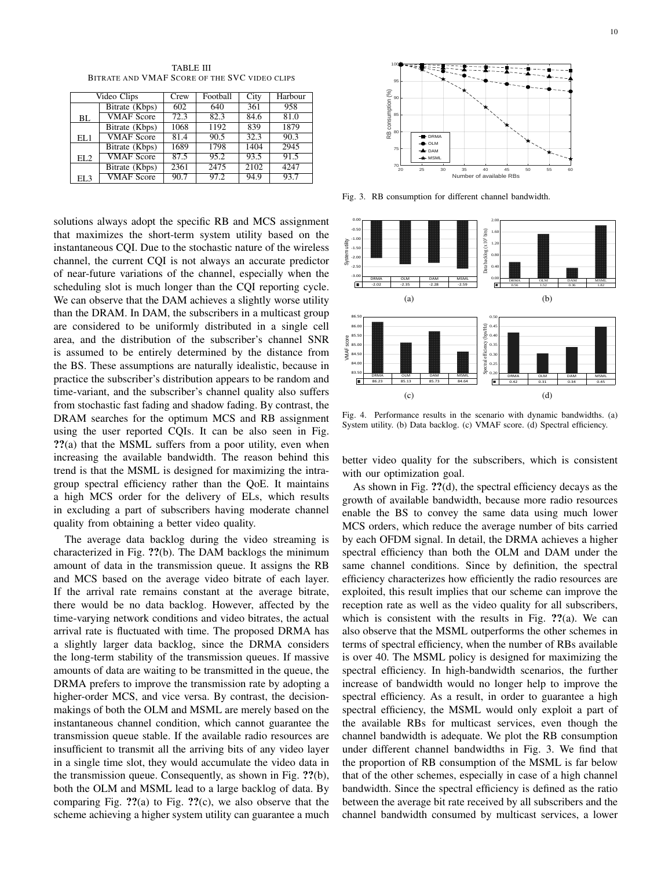Video Clips Crew Football City Harbour<br>Bitrate (Kbps) 602 640 361 958 **BI** Bitrate (Kbps) 602 640 361 958<br>
VMAF Score 72.3 82.3 84.6 81.0 VMAF Score EL. Bitrate (Kbps) 1068 1192 839 1879<br>
VMAF Score 81.4 90.5 32.3 90.3 VMAF Score EL2 Bitrate (Kbps) 1689 1798 1404 2945<br>
VMAF Score 87.5 95.2 93.5 91.5 VMAF Score EL3 Bitrate (Kbps) 2361 2475 2102 4247<br>
VMAF Score 90.7 97.2 94.9 93.7 VMAF Score

TABLE III BITRATE AND VMAF SCORE OF THE SVC VIDEO CLIPS

solutions always adopt the specific RB and MCS assignment that maximizes the short-term system utility based on the instantaneous CQI. Due to the stochastic nature of the wireless channel, the current CQI is not always an accurate predictor of near-future variations of the channel, especially when the scheduling slot is much longer than the CQI reporting cycle. We can observe that the DAM achieves a slightly worse utility than the DRAM. In DAM, the subscribers in a multicast group are considered to be uniformly distributed in a single cell area, and the distribution of the subscriber's channel SNR is assumed to be entirely determined by the distance from the BS. These assumptions are naturally idealistic, because in practice the subscriber's distribution appears to be random and time-variant, and the subscriber's channel quality also suffers from stochastic fast fading and shadow fading. By contrast, the DRAM searches for the optimum MCS and RB assignment using the user reported CQIs. It can be also seen in Fig. ??(a) that the MSML suffers from a poor utility, even when increasing the available bandwidth. The reason behind this trend is that the MSML is designed for maximizing the intragroup spectral efficiency rather than the QoE. It maintains a high MCS order for the delivery of ELs, which results in excluding a part of subscribers having moderate channel quality from obtaining a better video quality.

The average data backlog during the video streaming is characterized in Fig. ??(b). The DAM backlogs the minimum amount of data in the transmission queue. It assigns the RB and MCS based on the average video bitrate of each layer. If the arrival rate remains constant at the average bitrate, there would be no data backlog. However, affected by the time-varying network conditions and video bitrates, the actual arrival rate is fluctuated with time. The proposed DRMA has a slightly larger data backlog, since the DRMA considers the long-term stability of the transmission queues. If massive amounts of data are waiting to be transmitted in the queue, the DRMA prefers to improve the transmission rate by adopting a higher-order MCS, and vice versa. By contrast, the decisionmakings of both the OLM and MSML are merely based on the instantaneous channel condition, which cannot guarantee the transmission queue stable. If the available radio resources are insufficient to transmit all the arriving bits of any video layer in a single time slot, they would accumulate the video data in the transmission queue. Consequently, as shown in Fig. ??(b), both the OLM and MSML lead to a large backlog of data. By comparing Fig.  $\mathbf{?}$ ?(a) to Fig.  $\mathbf{?}$ ?(c), we also observe that the scheme achieving a higher system utility can guarantee a much

100 95 RB consumption (%) 90 85 80  $\blacksquare$ DRM  $\bullet$  OLM Ā DAM 75  $\star$  MSML — 70 20 25 30 35 40 45 50 55 60 Number of available RBs

Fig. 3. RB consumption for different channel bandwidth.



Fig. 4. Performance results in the scenario with dynamic bandwidths. (a) System utility. (b) Data backlog. (c) VMAF score. (d) Spectral efficiency.

better video quality for the subscribers, which is consistent with our optimization goal.

As shown in Fig.  $?$ ? $(d)$ , the spectral efficiency decays as the growth of available bandwidth, because more radio resources enable the BS to convey the same data using much lower MCS orders, which reduce the average number of bits carried by each OFDM signal. In detail, the DRMA achieves a higher spectral efficiency than both the OLM and DAM under the same channel conditions. Since by definition, the spectral efficiency characterizes how efficiently the radio resources are exploited, this result implies that our scheme can improve the reception rate as well as the video quality for all subscribers, which is consistent with the results in Fig.  $?$ ?(a). We can also observe that the MSML outperforms the other schemes in terms of spectral efficiency, when the number of RBs available is over 40. The MSML policy is designed for maximizing the spectral efficiency. In high-bandwidth scenarios, the further increase of bandwidth would no longer help to improve the spectral efficiency. As a result, in order to guarantee a high spectral efficiency, the MSML would only exploit a part of the available RBs for multicast services, even though the channel bandwidth is adequate. We plot the RB consumption under different channel bandwidths in Fig. 3. We find that the proportion of RB consumption of the MSML is far below that of the other schemes, especially in case of a high channel bandwidth. Since the spectral efficiency is defined as the ratio between the average bit rate received by all subscribers and the channel bandwidth consumed by multicast services, a lower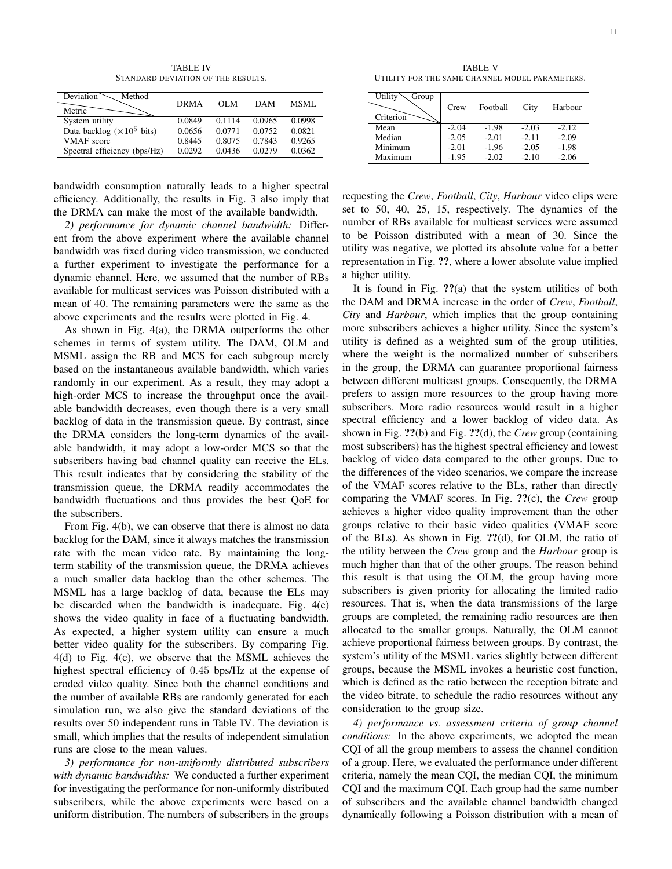TABLE IV STANDARD DEVIATION OF THE RESULTS.

| <b>Deviation</b><br>Method<br>Metric | <b>DRMA</b> | OL M   | <b>DAM</b> | MSML   |
|--------------------------------------|-------------|--------|------------|--------|
| System utility                       | 0.0849      | 0.1114 | 0.0965     | 0.0998 |
| Data backlog ( $\times 10^5$ bits)   | 0.0656      | 0.0771 | 0.0752     | 0.0821 |
| <b>VMAF</b> score                    | 0.8445      | 0.8075 | 0.7843     | 0.9265 |
| Spectral efficiency (bps/Hz)         | 0.0292      | 0.0436 | 0.0279     | 0.0362 |

bandwidth consumption naturally leads to a higher spectral efficiency. Additionally, the results in Fig. 3 also imply that the DRMA can make the most of the available bandwidth.

*2) performance for dynamic channel bandwidth:* Different from the above experiment where the available channel bandwidth was fixed during video transmission, we conducted a further experiment to investigate the performance for a dynamic channel. Here, we assumed that the number of RBs available for multicast services was Poisson distributed with a mean of 40. The remaining parameters were the same as the above experiments and the results were plotted in Fig. 4.

As shown in Fig. 4(a), the DRMA outperforms the other schemes in terms of system utility. The DAM, OLM and MSML assign the RB and MCS for each subgroup merely based on the instantaneous available bandwidth, which varies randomly in our experiment. As a result, they may adopt a high-order MCS to increase the throughput once the available bandwidth decreases, even though there is a very small backlog of data in the transmission queue. By contrast, since the DRMA considers the long-term dynamics of the available bandwidth, it may adopt a low-order MCS so that the subscribers having bad channel quality can receive the ELs. This result indicates that by considering the stability of the transmission queue, the DRMA readily accommodates the bandwidth fluctuations and thus provides the best QoE for the subscribers.

From Fig. 4(b), we can observe that there is almost no data backlog for the DAM, since it always matches the transmission rate with the mean video rate. By maintaining the longterm stability of the transmission queue, the DRMA achieves a much smaller data backlog than the other schemes. The MSML has a large backlog of data, because the ELs may be discarded when the bandwidth is inadequate. Fig. 4(c) shows the video quality in face of a fluctuating bandwidth. As expected, a higher system utility can ensure a much better video quality for the subscribers. By comparing Fig. 4(d) to Fig. 4(c), we observe that the MSML achieves the highest spectral efficiency of 0.45 bps/Hz at the expense of eroded video quality. Since both the channel conditions and the number of available RBs are randomly generated for each simulation run, we also give the standard deviations of the results over 50 independent runs in Table IV. The deviation is small, which implies that the results of independent simulation runs are close to the mean values.

*3) performance for non-uniformly distributed subscribers with dynamic bandwidths:* We conducted a further experiment for investigating the performance for non-uniformly distributed subscribers, while the above experiments were based on a uniform distribution. The numbers of subscribers in the groups

TABLE V UTILITY FOR THE SAME CHANNEL MODEL PARAMETERS.

| Utility<br>Group<br>Criterion | Crew    | Football | City    | Harbour |
|-------------------------------|---------|----------|---------|---------|
| Mean                          | $-2.04$ | $-1.98$  | $-2.03$ | $-2.12$ |
| Median                        | $-2.05$ | $-2.01$  | $-2.11$ | $-2.09$ |
| Minimum                       | $-2.01$ | $-1.96$  | $-2.05$ | $-1.98$ |
| Maximum                       | $-1.95$ | $-2.02$  | $-2.10$ | $-2.06$ |

requesting the *Crew*, *Football*, *City*, *Harbour* video clips were set to 50, 40, 25, 15, respectively. The dynamics of the number of RBs available for multicast services were assumed to be Poisson distributed with a mean of 30. Since the utility was negative, we plotted its absolute value for a better representation in Fig. ??, where a lower absolute value implied a higher utility.

It is found in Fig. ??(a) that the system utilities of both the DAM and DRMA increase in the order of *Crew*, *Football*, *City* and *Harbour*, which implies that the group containing more subscribers achieves a higher utility. Since the system's utility is defined as a weighted sum of the group utilities, where the weight is the normalized number of subscribers in the group, the DRMA can guarantee proportional fairness between different multicast groups. Consequently, the DRMA prefers to assign more resources to the group having more subscribers. More radio resources would result in a higher spectral efficiency and a lower backlog of video data. As shown in Fig. ??(b) and Fig. ??(d), the *Crew* group (containing most subscribers) has the highest spectral efficiency and lowest backlog of video data compared to the other groups. Due to the differences of the video scenarios, we compare the increase of the VMAF scores relative to the BLs, rather than directly comparing the VMAF scores. In Fig. ??(c), the *Crew* group achieves a higher video quality improvement than the other groups relative to their basic video qualities (VMAF score of the BLs). As shown in Fig.  $?$ ?(d), for OLM, the ratio of the utility between the *Crew* group and the *Harbour* group is much higher than that of the other groups. The reason behind this result is that using the OLM, the group having more subscribers is given priority for allocating the limited radio resources. That is, when the data transmissions of the large groups are completed, the remaining radio resources are then allocated to the smaller groups. Naturally, the OLM cannot achieve proportional fairness between groups. By contrast, the system's utility of the MSML varies slightly between different groups, because the MSML invokes a heuristic cost function, which is defined as the ratio between the reception bitrate and the video bitrate, to schedule the radio resources without any consideration to the group size.

*4) performance vs. assessment criteria of group channel conditions:* In the above experiments, we adopted the mean CQI of all the group members to assess the channel condition of a group. Here, we evaluated the performance under different criteria, namely the mean CQI, the median CQI, the minimum CQI and the maximum CQI. Each group had the same number of subscribers and the available channel bandwidth changed dynamically following a Poisson distribution with a mean of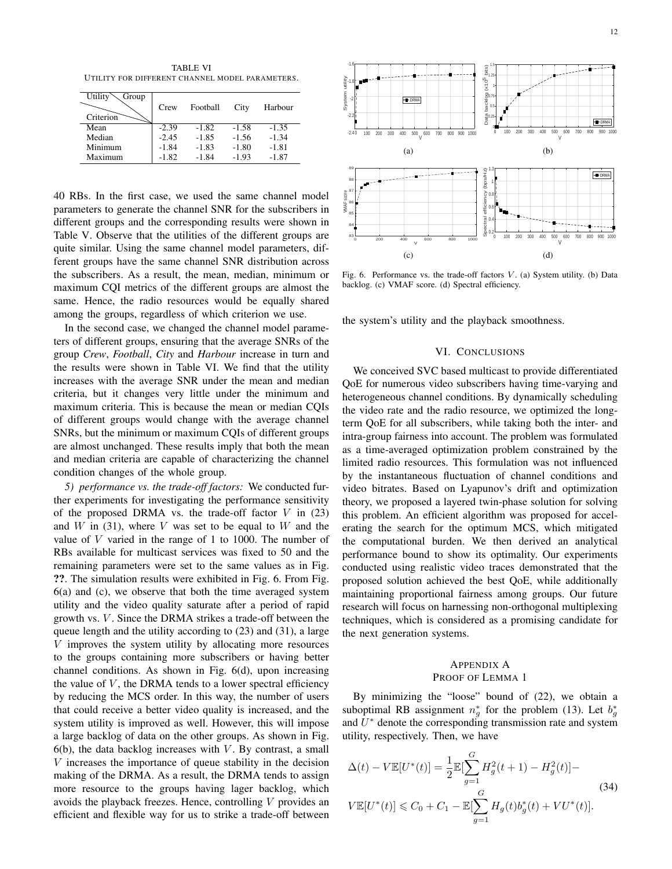TABLE VI UTILITY FOR DIFFERENT CHANNEL MODEL PARAMETERS.

| Utility<br>Group<br>Criterion | Crew    | Football | City    | Harbour |
|-------------------------------|---------|----------|---------|---------|
| Mean                          | $-2.39$ | $-1.82$  | $-1.58$ | $-1.35$ |
| Median                        | $-2.45$ | $-1.85$  | $-1.56$ | $-1.34$ |
| Minimum                       | $-1.84$ | $-1.83$  | $-1.80$ | $-1.81$ |
| Maximum                       | $-1.82$ | -1.84    | $-1.93$ | $-1.87$ |

40 RBs. In the first case, we used the same channel model parameters to generate the channel SNR for the subscribers in different groups and the corresponding results were shown in Table V. Observe that the utilities of the different groups are quite similar. Using the same channel model parameters, different groups have the same channel SNR distribution across the subscribers. As a result, the mean, median, minimum or maximum CQI metrics of the different groups are almost the same. Hence, the radio resources would be equally shared among the groups, regardless of which criterion we use.

In the second case, we changed the channel model parameters of different groups, ensuring that the average SNRs of the group *Crew*, *Football*, *City* and *Harbour* increase in turn and the results were shown in Table VI. We find that the utility increases with the average SNR under the mean and median criteria, but it changes very little under the minimum and maximum criteria. This is because the mean or median CQIs of different groups would change with the average channel SNRs, but the minimum or maximum CQIs of different groups are almost unchanged. These results imply that both the mean and median criteria are capable of characterizing the channel condition changes of the whole group.

*5) performance vs. the trade-off factors:* We conducted further experiments for investigating the performance sensitivity of the proposed DRMA vs. the trade-off factor  $V$  in (23) and  $W$  in (31), where  $V$  was set to be equal to  $W$  and the value of  $V$  varied in the range of 1 to 1000. The number of RBs available for multicast services was fixed to 50 and the remaining parameters were set to the same values as in Fig. ??. The simulation results were exhibited in Fig. 6. From Fig. 6(a) and (c), we observe that both the time averaged system utility and the video quality saturate after a period of rapid growth vs. V. Since the DRMA strikes a trade-off between the queue length and the utility according to (23) and (31), a large  $V$  improves the system utility by allocating more resources to the groups containing more subscribers or having better channel conditions. As shown in Fig. 6(d), upon increasing the value of  $V$ , the DRMA tends to a lower spectral efficiency by reducing the MCS order. In this way, the number of users that could receive a better video quality is increased, and the system utility is improved as well. However, this will impose a large backlog of data on the other groups. As shown in Fig.  $6(b)$ , the data backlog increases with V. By contrast, a small V increases the importance of queue stability in the decision making of the DRMA. As a result, the DRMA tends to assign more resource to the groups having lager backlog, which avoids the playback freezes. Hence, controlling  $V$  provides an efficient and flexible way for us to strike a trade-off between



Fig. 6. Performance vs. the trade-off factors  $V$ . (a) System utility. (b) Data backlog. (c) VMAF score. (d) Spectral efficiency.

the system's utility and the playback smoothness.

#### VI. CONCLUSIONS

We conceived SVC based multicast to provide differentiated QoE for numerous video subscribers having time-varying and heterogeneous channel conditions. By dynamically scheduling the video rate and the radio resource, we optimized the longterm QoE for all subscribers, while taking both the inter- and intra-group fairness into account. The problem was formulated as a time-averaged optimization problem constrained by the limited radio resources. This formulation was not influenced by the instantaneous fluctuation of channel conditions and video bitrates. Based on Lyapunov's drift and optimization theory, we proposed a layered twin-phase solution for solving this problem. An efficient algorithm was proposed for accelerating the search for the optimum MCS, which mitigated the computational burden. We then derived an analytical performance bound to show its optimality. Our experiments conducted using realistic video traces demonstrated that the proposed solution achieved the best QoE, while additionally maintaining proportional fairness among groups. Our future research will focus on harnessing non-orthogonal multiplexing techniques, which is considered as a promising candidate for the next generation systems.

## APPENDIX A PROOF OF LEMMA 1

By minimizing the "loose" bound of (22), we obtain a suboptimal RB assignment  $n_g^*$  for the problem (13). Let  $b_g^*$ and  $U^*$  denote the corresponding transmission rate and system utility, respectively. Then, we have

$$
\Delta(t) - V \mathbb{E}[U^*(t)] = \frac{1}{2} \mathbb{E}[\sum_{g=1}^G H_g^2(t+1) - H_g^2(t)] -
$$
  
\n
$$
V \mathbb{E}[U^*(t)] \leq C_0 + C_1 - \mathbb{E}[\sum_{g=1}^G H_g(t)b_g^*(t) + VU^*(t)].
$$
\n(34)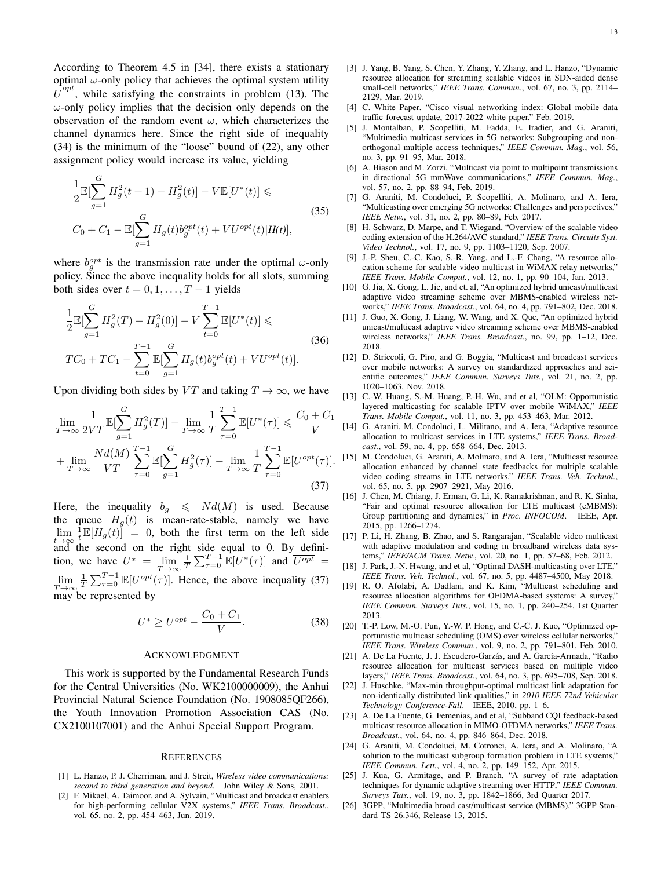According to Theorem 4.5 in [34], there exists a stationary optimal  $\omega$ -only policy that achieves the optimal system utility  $\overline{U}^{opt}$ , while satisfying the constraints in problem (13). The  $\omega$ -only policy implies that the decision only depends on the observation of the random event  $\omega$ , which characterizes the channel dynamics here. Since the right side of inequality (34) is the minimum of the "loose" bound of (22), any other assignment policy would increase its value, yielding

$$
\frac{1}{2} \mathbb{E}[\sum_{g=1}^{G} H_g^2(t+1) - H_g^2(t)] - V \mathbb{E}[U^*(t)] \le
$$
\n
$$
C_0 + C_1 - \mathbb{E}[\sum_{g=1}^{G} H_g(t) b_g^{opt}(t) + V U^{opt}(t) | H(t)],
$$
\n(35)

where  $b_g^{opt}$  is the transmission rate under the optimal  $\omega$ -only policy. Since the above inequality holds for all slots, summing both sides over  $t = 0, 1, \ldots, T - 1$  yields

$$
\frac{1}{2} \mathbb{E}[\sum_{g=1}^{G} H_g^2(T) - H_g^2(0)] - V \sum_{t=0}^{T-1} \mathbb{E}[U^*(t)] \le
$$
\n
$$
TC_0 + TC_1 - \sum_{t=0}^{T-1} \mathbb{E}[\sum_{g=1}^{G} H_g(t) b_g^{opt}(t) + VU^{opt}(t)].
$$
\n(36)

Upon dividing both sides by VT and taking  $T \to \infty$ , we have

$$
\lim_{T \to \infty} \frac{1}{2VT} \mathbb{E}[\sum_{g=1}^{G} H_g^2(T)] - \lim_{T \to \infty} \frac{1}{T} \sum_{\tau=0}^{T-1} \mathbb{E}[U^*(\tau)] \leq \frac{C_0 + C_1}{V} \n+ \lim_{T \to \infty} \frac{Nd(M)}{VT} \sum_{\tau=0}^{T-1} \mathbb{E}[\sum_{g=1}^{G} H_g^2(\tau)] - \lim_{T \to \infty} \frac{1}{T} \sum_{\tau=0}^{T-1} \mathbb{E}[U^{opt}(\tau)].
$$
\n(37)

Here, the inequality  $b_g \leq N d(M)$  is used. Because the queue  $H<sub>q</sub>(t)$  is mean-rate-stable, namely we have  $\lim_{t\to\infty} \frac{1}{t} \mathbb{E}[H_g(t)] = 0$ , both the first term on the left side t and the second on the right side equal to 0. By definition, we have  $\overline{U^*} = \lim_{T \to \infty}$  $\frac{1}{T} \sum_{\tau=0}^{T-1} \mathbb{E}[U^*(\tau)]$  and  $\overline{U^{opt}} =$  $\lim_{T\to\infty}$  $\frac{1}{T} \sum_{\tau=0}^{T-1} \mathbb{E}[U^{opt}(\tau)].$  Hence, the above inequality (37) may be represented by

$$
\overline{U^*} \ge \overline{U^{opt}} - \frac{C_0 + C_1}{V}.
$$
\n(38)

#### ACKNOWLEDGMENT

This work is supported by the Fundamental Research Funds for the Central Universities (No. WK2100000009), the Anhui Provincial Natural Science Foundation (No. 1908085QF266), the Youth Innovation Promotion Association CAS (No. CX2100107001) and the Anhui Special Support Program.

#### **REFERENCES**

- [1] L. Hanzo, P. J. Cherriman, and J. Streit, *Wireless video communications: second to third generation and beyond*. John Wiley & Sons, 2001.
- [2] F. Mikael, A. Taimoor, and A. Sylvain, "Multicast and broadcast enablers for high-performing cellular V2X systems," *IEEE Trans. Broadcast.*, vol. 65, no. 2, pp. 454–463, Jun. 2019.
- [3] J. Yang, B. Yang, S. Chen, Y. Zhang, Y. Zhang, and L. Hanzo, "Dynamic resource allocation for streaming scalable videos in SDN-aided dense small-cell networks," *IEEE Trans. Commun.*, vol. 67, no. 3, pp. 2114– 2129, Mar. 2019.
- [4] C. White Paper, "Cisco visual networking index: Global mobile data traffic forecast update, 2017-2022 white paper," Feb. 2019.
- [5] J. Montalban, P. Scopelliti, M. Fadda, E. Iradier, and G. Araniti, "Multimedia multicast services in 5G networks: Subgrouping and nonorthogonal multiple access techniques," *IEEE Commun. Mag.*, vol. 56, no. 3, pp. 91–95, Mar. 2018.
- [6] A. Biason and M. Zorzi, "Multicast via point to multipoint transmissions in directional 5G mmWave communications," *IEEE Commun. Mag.*, vol. 57, no. 2, pp. 88–94, Feb. 2019.
- [7] G. Araniti, M. Condoluci, P. Scopelliti, A. Molinaro, and A. Iera, "Multicasting over emerging 5G networks: Challenges and perspectives," *IEEE Netw.*, vol. 31, no. 2, pp. 80–89, Feb. 2017.
- [8] H. Schwarz, D. Marpe, and T. Wiegand, "Overview of the scalable video coding extension of the H.264/AVC standard," *IEEE Trans. Circuits Syst. Video Technol.*, vol. 17, no. 9, pp. 1103–1120, Sep. 2007.
- [9] J.-P. Sheu, C.-C. Kao, S.-R. Yang, and L.-F. Chang, "A resource allocation scheme for scalable video multicast in WiMAX relay networks.' *IEEE Trans. Mobile Comput.*, vol. 12, no. 1, pp. 90–104, Jan. 2013.
- [10] G. Jia, X. Gong, L. Jie, and et. al, "An optimized hybrid unicast/multicast adaptive video streaming scheme over MBMS-enabled wireless networks," *IEEE Trans. Broadcast.*, vol. 64, no. 4, pp. 791–802, Dec. 2018.
- [11] J. Guo, X. Gong, J. Liang, W. Wang, and X. Que, "An optimized hybrid unicast/multicast adaptive video streaming scheme over MBMS-enabled wireless networks," *IEEE Trans. Broadcast.*, no. 99, pp. 1–12, Dec. 2018.
- [12] D. Striccoli, G. Piro, and G. Boggia, "Multicast and broadcast services over mobile networks: A survey on standardized approaches and scientific outcomes," *IEEE Commun. Surveys Tuts.*, vol. 21, no. 2, pp. 1020–1063, Nov. 2018.
- [13] C.-W. Huang, S.-M. Huang, P.-H. Wu, and et al, "OLM: Opportunistic layered multicasting for scalable IPTV over mobile WiMAX," *IEEE Trans. Mobile Comput.*, vol. 11, no. 3, pp. 453–463, Mar. 2012.
- [14] G. Araniti, M. Condoluci, L. Militano, and A. Iera, "Adaptive resource allocation to multicast services in LTE systems," *IEEE Trans. Broadcast.*, vol. 59, no. 4, pp. 658–664, Dec. 2013.
- [15] M. Condoluci, G. Araniti, A. Molinaro, and A. Iera, "Multicast resource allocation enhanced by channel state feedbacks for multiple scalable video coding streams in LTE networks," *IEEE Trans. Veh. Technol.*, vol. 65, no. 5, pp. 2907–2921, May 2016.
- [16] J. Chen, M. Chiang, J. Erman, G. Li, K. Ramakrishnan, and R. K. Sinha, "Fair and optimal resource allocation for LTE multicast (eMBMS): Group partitioning and dynamics," in *Proc. INFOCOM*. IEEE, Apr. 2015, pp. 1266–1274.
- [17] P. Li, H. Zhang, B. Zhao, and S. Rangarajan, "Scalable video multicast with adaptive modulation and coding in broadband wireless data systems," *IEEE/ACM Trans. Netw.*, vol. 20, no. 1, pp. 57–68, Feb. 2012.
- [18] J. Park, J.-N. Hwang, and et al, "Optimal DASH-multicasting over LTE," *IEEE Trans. Veh. Technol.*, vol. 67, no. 5, pp. 4487–4500, May 2018.
- [19] R. O. Afolabi, A. Dadlani, and K. Kim, "Multicast scheduling and resource allocation algorithms for OFDMA-based systems: A survey,' *IEEE Commun. Surveys Tuts.*, vol. 15, no. 1, pp. 240–254, 1st Quarter 2013.
- [20] T.-P. Low, M.-O. Pun, Y.-W. P. Hong, and C.-C. J. Kuo, "Optimized opportunistic multicast scheduling (OMS) over wireless cellular networks," *IEEE Trans. Wireless Commun.*, vol. 9, no. 2, pp. 791–801, Feb. 2010.
- [21] A. De La Fuente, J. J. Escudero-Garzás, and A. García-Armada, "Radio resource allocation for multicast services based on multiple video layers," *IEEE Trans. Broadcast.*, vol. 64, no. 3, pp. 695–708, Sep. 2018.
- [22] J. Huschke, "Max-min throughput-optimal multicast link adaptation for non-identically distributed link qualities," in *2010 IEEE 72nd Vehicular Technology Conference-Fall*. IEEE, 2010, pp. 1–6.
- [23] A. De La Fuente, G. Femenias, and et al, "Subband COI feedback-based multicast resource allocation in MIMO-OFDMA networks," *IEEE Trans. Broadcast.*, vol. 64, no. 4, pp. 846–864, Dec. 2018.
- [24] G. Araniti, M. Condoluci, M. Cotronei, A. Iera, and A. Molinaro, "A solution to the multicast subgroup formation problem in LTE systems," *IEEE Commun. Lett.*, vol. 4, no. 2, pp. 149–152, Apr. 2015.
- [25] J. Kua, G. Armitage, and P. Branch, "A survey of rate adaptation techniques for dynamic adaptive streaming over HTTP," *IEEE Commun. Surveys Tuts.*, vol. 19, no. 3, pp. 1842–1866, 3rd Quarter 2017.
- [26] 3GPP, "Multimedia broad cast/multicast service (MBMS)," 3GPP Standard TS 26.346, Release 13, 2015.